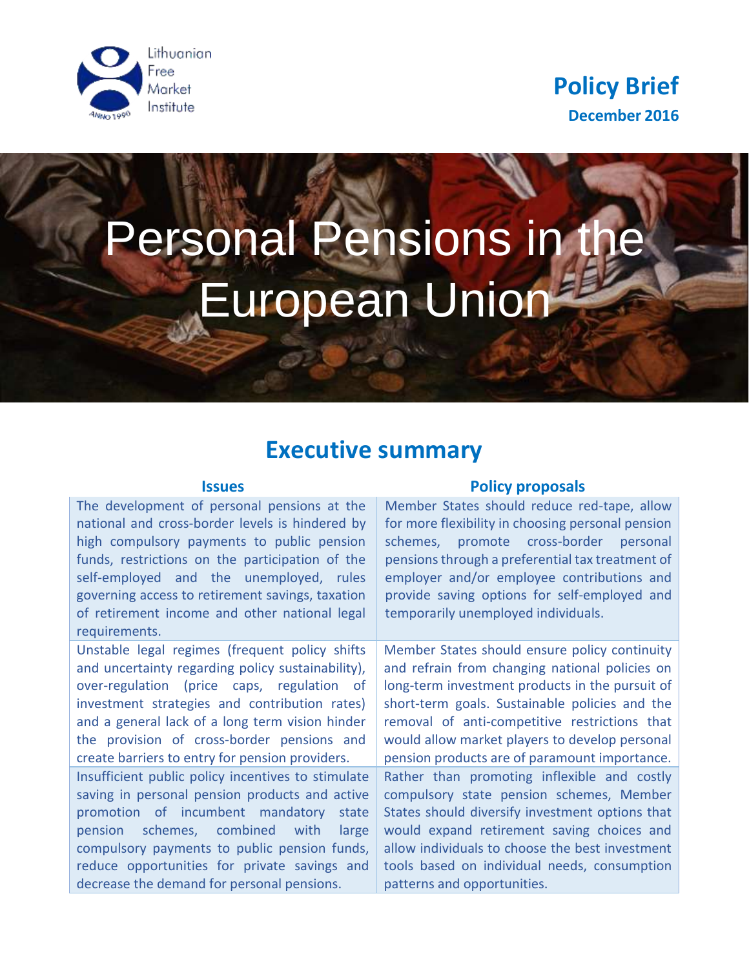



# Personal Pensions in the European Union

## **Executive summary**

The development of personal pensions at the national and cross-border levels is hindered by high compulsory payments to public pension funds, restrictions on the participation of the self-employed and the unemployed, rules governing access to retirement savings, taxation of retirement income and other national legal requirements.

Unstable legal regimes (frequent policy shifts and uncertainty regarding policy sustainability), over-regulation (price caps, regulation of investment strategies and contribution rates) and a general lack of a long term vision hinder the provision of cross-border pensions and create barriers to entry for pension providers.

Insufficient public policy incentives to stimulate saving in personal pension products and active promotion of incumbent mandatory state pension schemes, combined with large compulsory payments to public pension funds, reduce opportunities for private savings and decrease the demand for personal pensions.

#### **Issues Policy proposals**

Member States should reduce red-tape, allow for more flexibility in choosing personal pension schemes, promote cross-border personal pensions through a preferential tax treatment of employer and/or employee contributions and provide saving options for self-employed and temporarily unemployed individuals.

Member States should ensure policy continuity and refrain from changing national policies on long-term investment products in the pursuit of short-term goals. Sustainable policies and the removal of anti-competitive restrictions that would allow market players to develop personal pension products are of paramount importance. Rather than promoting inflexible and costly compulsory state pension schemes, Member States should diversify investment options that would expand retirement saving choices and allow individuals to choose the best investment tools based on individual needs, consumption patterns and opportunities.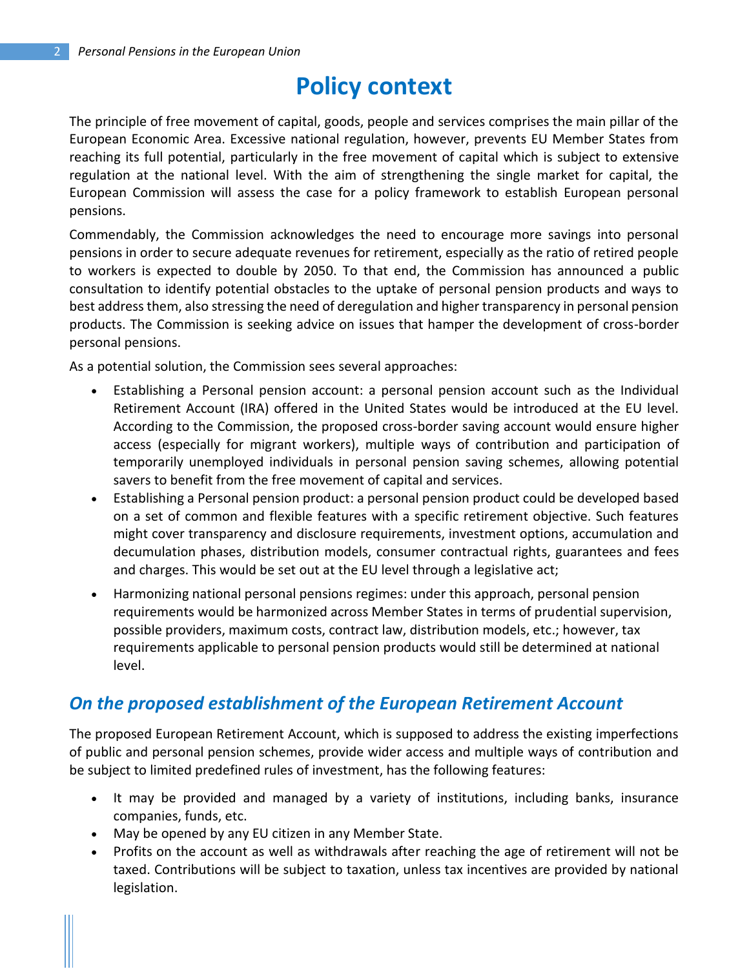# **Policy context**

The principle of free movement of capital, goods, people and services comprises the main pillar of the European Economic Area. Excessive national regulation, however, prevents EU Member States from reaching its full potential, particularly in the free movement of capital which is subject to extensive regulation at the national level. With the aim of strengthening the single market for capital, the European Commission will assess the case for a policy framework to establish European personal pensions.

Commendably, the Commission acknowledges the need to encourage more savings into personal pensions in order to secure adequate revenues for retirement, especially as the ratio of retired people to workers is expected to double by 2050. To that end, the Commission has announced a public consultation to identify potential obstacles to the uptake of personal pension products and ways to best address them, also stressing the need of deregulation and higher transparency in personal pension products. The Commission is seeking advice on issues that hamper the development of cross-border personal pensions.

As a potential solution, the Commission sees several approaches:

- Establishing a Personal pension account: a personal pension account such as the Individual Retirement Account (IRA) offered in the United States would be introduced at the EU level. According to the Commission, the proposed cross-border saving account would ensure higher access (especially for migrant workers), multiple ways of contribution and participation of temporarily unemployed individuals in personal pension saving schemes, allowing potential savers to benefit from the free movement of capital and services.
- Establishing a Personal pension product: a personal pension product could be developed based on a set of common and flexible features with a specific retirement objective. Such features might cover transparency and disclosure requirements, investment options, accumulation and decumulation phases, distribution models, consumer contractual rights, guarantees and fees and charges. This would be set out at the EU level through a legislative act;
- Harmonizing national personal pensions regimes: under this approach, personal pension requirements would be harmonized across Member States in terms of prudential supervision, possible providers, maximum costs, contract law, distribution models, etc.; however, tax requirements applicable to personal pension products would still be determined at national level.

#### *On the proposed establishment of the European Retirement Account*

The proposed European Retirement Account, which is supposed to address the existing imperfections of public and personal pension schemes, provide wider access and multiple ways of contribution and be subject to limited predefined rules of investment, has the following features:

- It may be provided and managed by a variety of institutions, including banks, insurance companies, funds, etc.
- May be opened by any EU citizen in any Member State.
- Profits on the account as well as withdrawals after reaching the age of retirement will not be taxed. Contributions will be subject to taxation, unless tax incentives are provided by national legislation.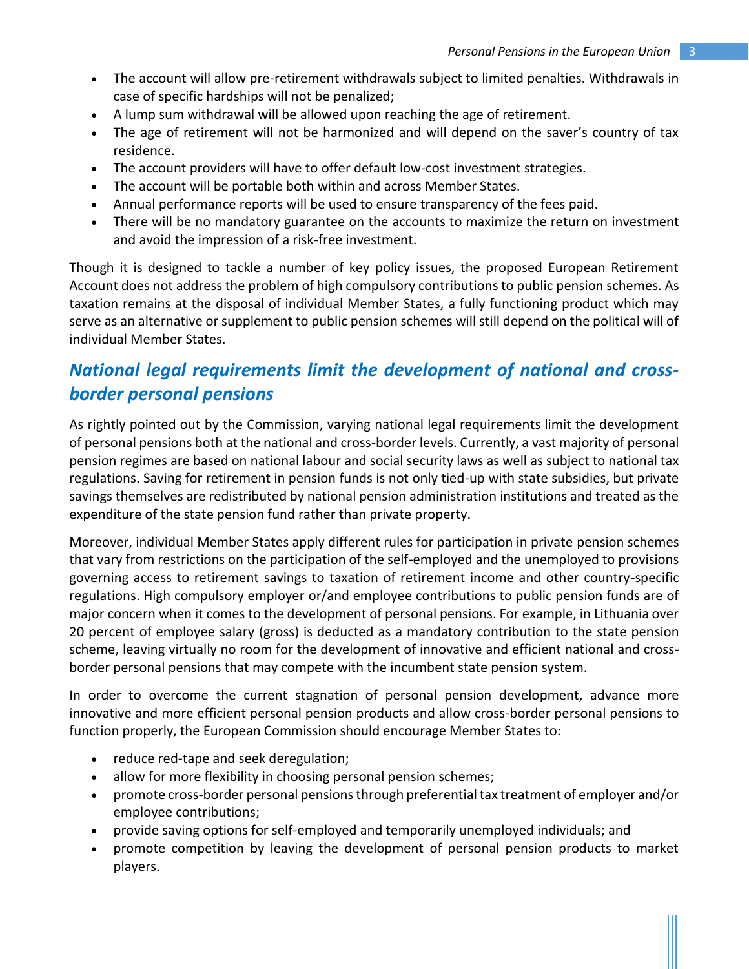- The account will allow pre-retirement withdrawals subject to limited penalties. Withdrawals in case of specific hardships will not be penalized;
- A lump sum withdrawal will be allowed upon reaching the age of retirement.
- The age of retirement will not be harmonized and will depend on the saver's country of tax residence.
- The account providers will have to offer default low-cost investment strategies.
- The account will be portable both within and across Member States.
- Annual performance reports will be used to ensure transparency of the fees paid.
- There will be no mandatory guarantee on the accounts to maximize the return on investment and avoid the impression of a risk-free investment.

Though it is designed to tackle a number of key policy issues, the proposed European Retirement Account does not address the problem of high compulsory contributions to public pension schemes. As taxation remains at the disposal of individual Member States, a fully functioning product which may serve as an alternative or supplement to public pension schemes will still depend on the political will of individual Member States.

### *National legal requirements limit the development of national and crossborder personal pensions*

As rightly pointed out by the Commission, varying national legal requirements limit the development of personal pensions both at the national and cross-border levels. Currently, a vast majority of personal pension regimes are based on national labour and social security laws as well as subject to national tax regulations. Saving for retirement in pension funds is not only tied-up with state subsidies, but private savings themselves are redistributed by national pension administration institutions and treated as the expenditure of the state pension fund rather than private property.

Moreover, individual Member States apply different rules for participation in private pension schemes that vary from restrictions on the participation of the self-employed and the unemployed to provisions governing access to retirement savings to taxation of retirement income and other country-specific regulations. High compulsory employer or/and employee contributions to public pension funds are of major concern when it comes to the development of personal pensions. For example, in Lithuania over 20 percent of employee salary (gross) is deducted as a mandatory contribution to the state pension scheme, leaving virtually no room for the development of innovative and efficient national and crossborder personal pensions that may compete with the incumbent state pension system.

In order to overcome the current stagnation of personal pension development, advance more innovative and more efficient personal pension products and allow cross-border personal pensions to function properly, the European Commission should encourage Member States to:

- reduce red-tape and seek deregulation;
- allow for more flexibility in choosing personal pension schemes;
- promote cross-border personal pensions through preferential tax treatment of employer and/or employee contributions;
- provide saving options for self-employed and temporarily unemployed individuals; and
- promote competition by leaving the development of personal pension products to market players.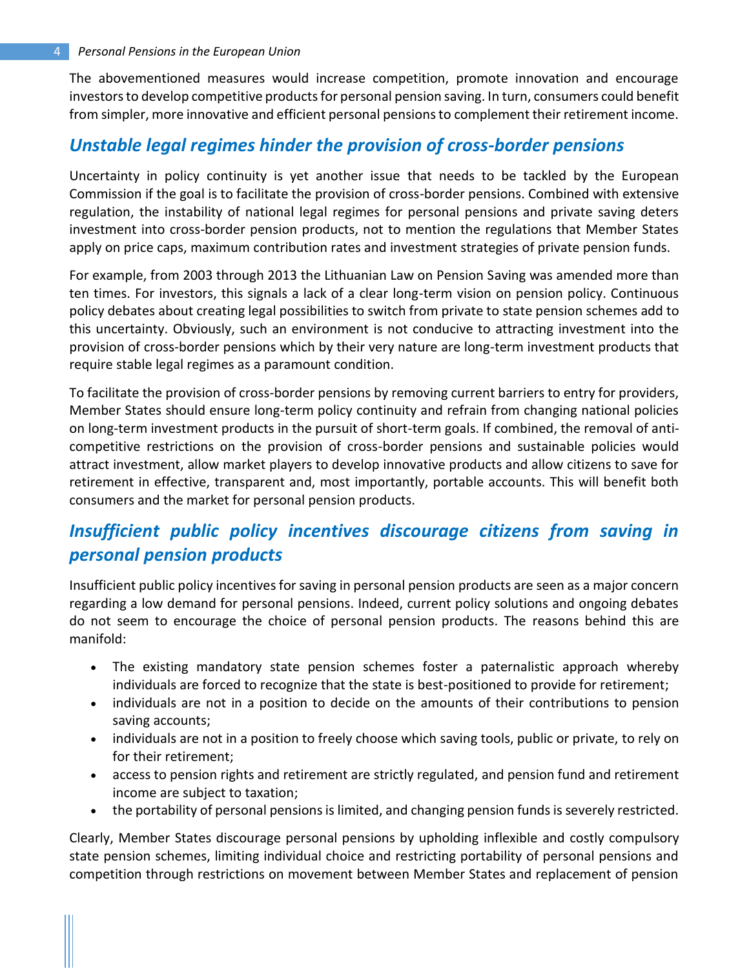The abovementioned measures would increase competition, promote innovation and encourage investors to develop competitive products for personal pension saving. In turn, consumers could benefit from simpler, more innovative and efficient personal pensions to complement their retirement income.

#### *Unstable legal regimes hinder the provision of cross-border pensions*

Uncertainty in policy continuity is yet another issue that needs to be tackled by the European Commission if the goal is to facilitate the provision of cross-border pensions. Combined with extensive regulation, the instability of national legal regimes for personal pensions and private saving deters investment into cross-border pension products, not to mention the regulations that Member States apply on price caps, maximum contribution rates and investment strategies of private pension funds.

For example, from 2003 through 2013 the Lithuanian Law on Pension Saving was amended more than ten times. For investors, this signals a lack of a clear long-term vision on pension policy. Continuous policy debates about creating legal possibilities to switch from private to state pension schemes add to this uncertainty. Obviously, such an environment is not conducive to attracting investment into the provision of cross-border pensions which by their very nature are long-term investment products that require stable legal regimes as a paramount condition.

To facilitate the provision of cross-border pensions by removing current barriers to entry for providers, Member States should ensure long-term policy continuity and refrain from changing national policies on long-term investment products in the pursuit of short-term goals. If combined, the removal of anticompetitive restrictions on the provision of cross-border pensions and sustainable policies would attract investment, allow market players to develop innovative products and allow citizens to save for retirement in effective, transparent and, most importantly, portable accounts. This will benefit both consumers and the market for personal pension products.

#### *Insufficient public policy incentives discourage citizens from saving in personal pension products*

Insufficient public policy incentives for saving in personal pension products are seen as a major concern regarding a low demand for personal pensions. Indeed, current policy solutions and ongoing debates do not seem to encourage the choice of personal pension products. The reasons behind this are manifold:

- The existing mandatory state pension schemes foster a paternalistic approach whereby individuals are forced to recognize that the state is best-positioned to provide for retirement;
- individuals are not in a position to decide on the amounts of their contributions to pension saving accounts;
- individuals are not in a position to freely choose which saving tools, public or private, to rely on for their retirement;
- access to pension rights and retirement are strictly regulated, and pension fund and retirement income are subject to taxation;
- the portability of personal pensions is limited, and changing pension funds is severely restricted.

Clearly, Member States discourage personal pensions by upholding inflexible and costly compulsory state pension schemes, limiting individual choice and restricting portability of personal pensions and competition through restrictions on movement between Member States and replacement of pension